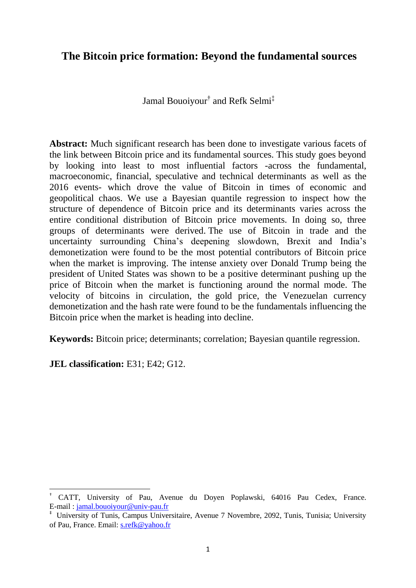# **[The Bitcoin price formation: Beyond the fundamental sources](https://www.google.tn/url?sa=t&rct=j&q=&esrc=s&source=web&cd=17&cad=rja&uact=8&ved=0ahUKEwiw45e57qrRAhWCtxQKHXGWD2Q4ChAWCDswBg&url=http%3A%2F%2Fwww.worldfinance.com%2Fmarkets%2Fvalue-of-bitcoin-soars-to-three-year-high&usg=AFQjCNG2AI-VgBLUwcye4625lDPuEJZ2GQ&sig2=AvcCUcll0XE4YDKkUT1AdQ)**

Jamal Bouoiyour† and Refk Selmi‡

**Abstract:** Much significant research has been done to investigate various facets of the link between Bitcoin price and its fundamental sources. This study goes beyond by looking into least to most influential factors -across the fundamental, macroeconomic, financial, speculative and technical determinants as well as the 2016 events- which drove the value of Bitcoin in times of economic and geopolitical chaos. We use a Bayesian quantile regression to inspect how the structure of dependence of Bitcoin price and its determinants varies across the entire conditional distribution of Bitcoin price movements. In doing so, three groups of determinants were derived. The use of Bitcoin in trade and the uncertainty surrounding China's deepening slowdown, Brexit and India's demonetization were found to be the most potential contributors of Bitcoin price when the market is improving. The [intense anxiety over Donald Trump being the](https://www.google.fr/url?sa=t&rct=j&q=&esrc=s&source=web&cd=2&cad=rja&uact=8&ved=0ahUKEwj5sMDV2q3TAhVKCcAKHSBYDooQFggmMAE&url=https%3A%2F%2Fwww.bustle.com%2Fp%2F11-ways-to-deal-with-your-intense-anxiety-over-trump-being-president-33146&usg=AFQjCNFg9PgA5dD61cl6-EFZNukD7kS-3g)  [president](https://www.google.fr/url?sa=t&rct=j&q=&esrc=s&source=web&cd=2&cad=rja&uact=8&ved=0ahUKEwj5sMDV2q3TAhVKCcAKHSBYDooQFggmMAE&url=https%3A%2F%2Fwww.bustle.com%2Fp%2F11-ways-to-deal-with-your-intense-anxiety-over-trump-being-president-33146&usg=AFQjCNFg9PgA5dD61cl6-EFZNukD7kS-3g) of United States was shown to be a positive determinant pushing up the price of Bitcoin when the market is functioning around the normal mode. The velocity of bitcoins in circulation, the gold price, the Venezuelan currency demonetization and the hash rate were found to be the fundamentals influencing the Bitcoin price when the market is heading into decline.

**Keywords:** Bitcoin price; determinants; correlation; Bayesian quantile regression.

**JEL classification:** E31; E42; G12.

 $\overline{\phantom{a}}$ 

<sup>†</sup> CATT, University of Pau, Avenue du Doyen Poplawski, 64016 Pau Cedex, France. E-mail : [jamal.bouoiyour@univ-pau.fr](mailto:jamal.bouoiyour@univ-pau.fr)

<sup>‡</sup> University of Tunis, Campus Universitaire, Avenue 7 Novembre, 2092, Tunis, Tunisia; University of Pau, France. Email: [s.refk@yahoo.fr](mailto:s.refk@yahoo.fr)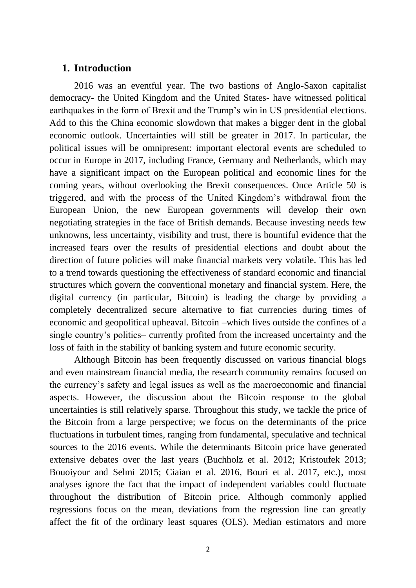# **1. Introduction**

2016 was an eventful year. The two bastions of Anglo-Saxon capitalist democracy- the United Kingdom and the United States- have witnessed political earthquakes in the form of Brexit and the Trump's win in US presidential elections. Add to this the China economic slowdown that makes a bigger dent in the global economic outlook. Uncertainties will still be greater in 2017. In particular, the political issues will be omnipresent: important electoral events are scheduled to occur in Europe in 2017, including France, Germany and Netherlands, which may have a significant impact on the European political and economic lines for the coming years, without overlooking the Brexit consequences. Once Article 50 is triggered, and with the process of the United Kingdom's withdrawal from the European Union, the new European governments will develop their own negotiating strategies in the face of British demands. Because investing needs few unknowns, less uncertainty, visibility and trust, there is bountiful evidence that the increased fears over the results of presidential elections and doubt about the direction of future policies will make financial markets very volatile. This has led to a trend towards questioning the effectiveness of standard economic and financial structures which govern the conventional monetary and financial system. Here, the digital currency (in particular, Bitcoin) is leading the charge by providing a completely decentralized secure alternative to fiat currencies during times of economic and geopolitical upheaval. Bitcoin –which lives outside the confines of a single country's politics– currently profited from the increased uncertainty and the loss of faith in the stability of banking system and future economic security.

Although Bitcoin has been frequently discussed on various financial blogs and even mainstream financial media, the research community remains focused on the currency's safety and legal issues as well as the macroeconomic and financial aspects. However, the discussion about the Bitcoin response to the global uncertainties is still relatively sparse. Throughout this study, we tackle the price of the Bitcoin from a large perspective; we focus on the determinants of the price fluctuations in turbulent times, ranging from fundamental, speculative and technical sources to the 2016 events. While the determinants Bitcoin price have generated extensive debates over the last years (Buchholz et al. 2012; Kristoufek 2013; Bouoiyour and Selmi 2015; Ciaian et al. 2016, Bouri et al. 2017, etc.), most analyses ignore the fact that the impact of independent variables could fluctuate throughout the distribution of Bitcoin price. Although commonly applied regressions focus on the mean, deviations from the regression line can greatly affect the fit of the ordinary least squares (OLS). Median estimators and more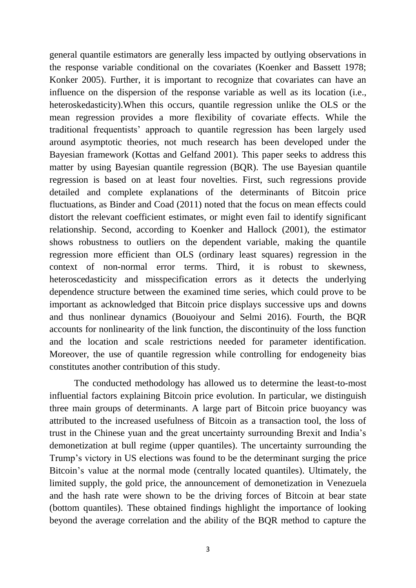general quantile estimators are generally less impacted by outlying observations in the response variable conditional on the covariates (Koenker and Bassett 1978; Konker 2005). Further, it is important to recognize that covariates can have an influence on the dispersion of the response variable as well as its location (i.e., heteroskedasticity).When this occurs, quantile regression unlike the OLS or the mean regression provides a more flexibility of covariate effects. While the traditional frequentists' approach to quantile regression has been largely used around asymptotic theories, not much research has been developed under the Bayesian framework (Kottas and Gelfand 2001). This paper seeks to address this matter by using Bayesian quantile regression (BQR). The use Bayesian quantile regression is based on at least four novelties. First, such regressions provide detailed and complete explanations of the determinants of Bitcoin price fluctuations, as Binder and Coad (2011) noted that the focus on mean effects could distort the relevant coefficient estimates, or might even fail to identify significant relationship. Second, according to Koenker and Hallock (2001), the estimator shows robustness to outliers on the dependent variable, making the quantile regression more efficient than OLS (ordinary least squares) regression in the context of non-normal error terms. Third, it is robust to skewness, heteroscedasticity and misspecification errors as it detects the underlying dependence structure between the examined time series, which could prove to be important as acknowledged that Bitcoin price displays successive ups and downs and thus nonlinear dynamics (Bouoiyour and Selmi 2016). Fourth, the BQR accounts for nonlinearity of the link function, the discontinuity of the loss function and the location and scale restrictions needed for parameter identification. Moreover, the use of quantile regression while controlling for endogeneity bias constitutes another contribution of this study.

The conducted methodology has allowed us to determine the least-to-most influential factors explaining Bitcoin price evolution. In particular, we distinguish three main groups of determinants. A large part of Bitcoin price buoyancy was attributed to the increased usefulness of Bitcoin as a transaction tool, the loss of trust in the Chinese yuan and the great uncertainty surrounding Brexit and India's demonetization at bull regime (upper quantiles). The uncertainty surrounding the Trump's victory in US elections was found to be the determinant surging the price Bitcoin's value at the normal mode (centrally located quantiles). Ultimately, the limited supply, the gold price, the announcement of demonetization in Venezuela and the hash rate were shown to be the driving forces of Bitcoin at bear state (bottom quantiles). These obtained findings highlight the importance of looking beyond the average correlation and the ability of the BQR method to capture the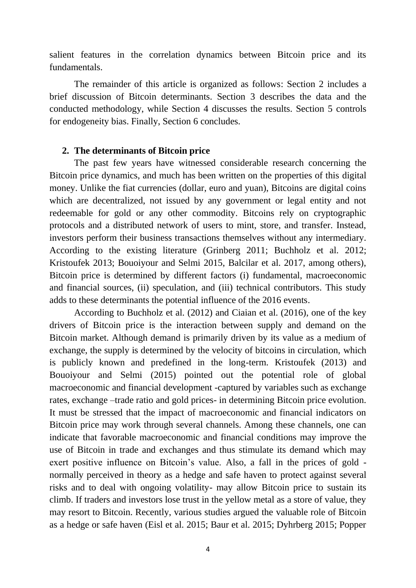salient features in the correlation dynamics between Bitcoin price and its fundamentals.

The remainder of this article is organized as follows: Section 2 includes a brief discussion of Bitcoin determinants. Section 3 describes the data and the conducted methodology, while Section 4 discusses the results. Section 5 controls for endogeneity bias. Finally, Section 6 concludes.

#### **2. The determinants of Bitcoin price**

The past few years have witnessed considerable research concerning the Bitcoin price dynamics, and much has been written on the properties of this digital money. Unlike the fiat currencies (dollar, euro and yuan), Bitcoins are digital coins which are decentralized, not issued by any government or legal entity and not redeemable for gold or any other commodity. Bitcoins rely on cryptographic protocols and a distributed network of users to mint, store, and transfer. Instead, investors perform their business transactions themselves without any intermediary. According to the existing literature (Grinberg 2011; Buchholz et al. 2012; Kristoufek 2013; Bouoiyour and Selmi 2015, Balcilar et al. 2017, among others), Bitcoin price is determined by different factors (i) fundamental, macroeconomic and financial sources, (ii) speculation, and (iii) technical contributors. This study adds to these determinants the potential influence of the 2016 events.

According to Buchholz et al. (2012) and Ciaian et al. (2016), one of the key drivers of Bitcoin price is the interaction between supply and demand on the Bitcoin market. Although demand is primarily driven by its value as a medium of exchange, the supply is determined by the velocity of bitcoins in circulation, which is publicly known and predefined in the long-term. Kristoufek (2013) and Bouoiyour and Selmi (2015) pointed out the potential role of global macroeconomic and financial development -captured by variables such as exchange rates, exchange –trade ratio and gold prices- in determining Bitcoin price evolution. It must be stressed that the impact of macroeconomic and financial indicators on Bitcoin price may work through several channels. Among these channels, one can indicate that favorable macroeconomic and financial conditions may improve the use of Bitcoin in trade and exchanges and thus stimulate its demand which may exert positive influence on Bitcoin's value. Also, a fall in the prices of gold normally perceived in theory as a hedge and safe haven to protect against several risks and to deal with ongoing volatility- may allow Bitcoin price to sustain its climb. If traders and investors lose trust in the yellow metal as a store of value, they may resort to Bitcoin. Recently, various studies argued the valuable role of Bitcoin as a hedge or safe haven (Eisl et al. 2015; Baur et al. 2015; Dyhrberg 2015; Popper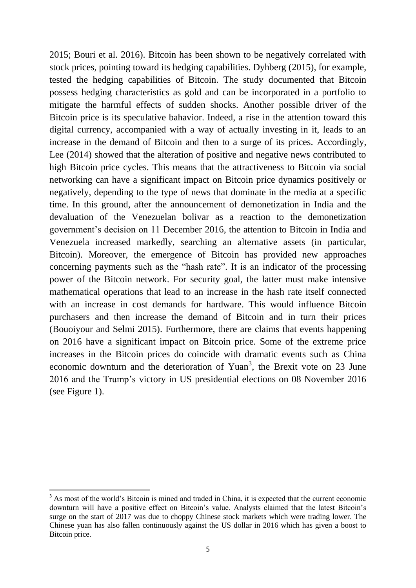2015; Bouri et al. 2016). Bitcoin has been shown to be negatively correlated with stock prices, pointing toward its hedging capabilities. Dyhberg (2015), for example, tested the hedging capabilities of Bitcoin. The study documented that Bitcoin possess hedging characteristics as gold and can be incorporated in a portfolio to mitigate the harmful effects of sudden shocks. Another possible driver of the Bitcoin price is its speculative bahavior. Indeed, a rise in the attention toward this digital currency, accompanied with a way of actually investing in it, leads to an increase in the demand of Bitcoin and then to a surge of its prices. Accordingly, Lee (2014) showed that the alteration of positive and negative news contributed to high Bitcoin price cycles. This means that the attractiveness to Bitcoin via social networking can have a significant impact on Bitcoin price dynamics positively or negatively, depending to the type of news that dominate in the media at a specific time. In this ground, after the announcement of demonetization in India and the devaluation of the Venezuelan bolivar as a reaction to the demonetization government's decision on 11 December 2016, the attention to Bitcoin in India and Venezuela increased markedly, searching an alternative assets (in particular, Bitcoin). Moreover, the emergence of Bitcoin has provided new approaches concerning payments such as the "hash rate". It is an indicator of the processing power of the Bitcoin network. For security goal, the latter must make intensive mathematical operations that lead to an increase in the hash rate itself connected with an increase in cost demands for hardware. This would influence Bitcoin purchasers and then increase the demand of Bitcoin and in turn their prices (Bouoiyour and Selmi 2015). Furthermore, there are claims that events happening on 2016 have a significant impact on Bitcoin price. Some of the extreme price increases in the Bitcoin prices do coincide with dramatic events such as China economic downturn and the deterioration of Yuan<sup>3</sup>, the Brexit vote on 23 June 2016 and the Trump's victory in US presidential elections on 08 November 2016 (see Figure 1).

**.** 

<sup>&</sup>lt;sup>3</sup> As most of the world's Bitcoin is mined and traded in China, it is expected that the current economic downturn will have a positive effect on Bitcoin's value. Analysts claimed that the latest Bitcoin's surge on the start of 2017 was due to choppy Chinese stock markets which were trading lower. The Chinese yuan has also fallen continuously against the US dollar in 2016 which has given a boost to Bitcoin price.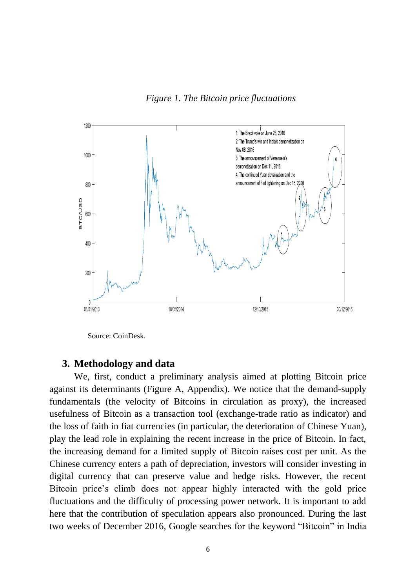*Figure 1. The Bitcoin price fluctuations*



Source: CoinDesk.

# **3. Methodology and data**

We, first, conduct a preliminary analysis aimed at plotting Bitcoin price against its determinants (Figure A, Appendix). We notice that the demand-supply fundamentals (the velocity of Bitcoins in circulation as proxy), the increased usefulness of Bitcoin as a transaction tool (exchange-trade ratio as indicator) and the loss of faith in fiat currencies (in particular, the deterioration of Chinese Yuan), play the lead role in explaining the recent increase in the price of Bitcoin. In fact, the increasing demand for a limited supply of Bitcoin raises cost per unit. As the Chinese currency enters a path of depreciation, investors will consider investing in digital currency that can preserve value and hedge risks. However, the recent Bitcoin price's climb does not appear highly interacted with the gold price fluctuations and the difficulty of processing power network. It is important to add here that the contribution of speculation appears also pronounced. During the last two weeks of December 2016, [Google searches](https://news.bitcoin.com/%E2%80%8Bremittance-countries-bitcoin-searches/) for the keyword "Bitcoin" in India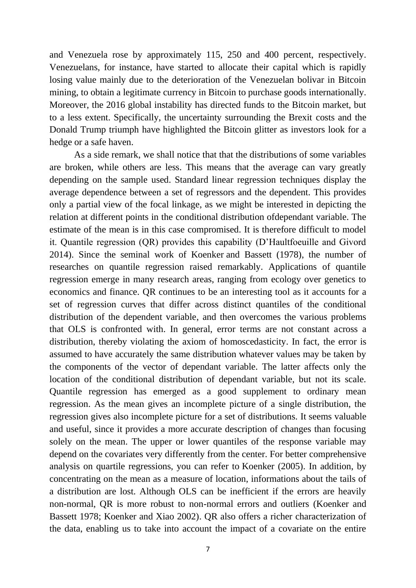and Venezuela rose by approximately 115, 250 and 400 percent, respectively. Venezuelans, for instance, have started to allocate their capital which is rapidly losing value mainly due to the deterioration of the Venezuelan bolivar in Bitcoin mining, to obtain a legitimate currency in Bitcoin to purchase goods internationally. Moreover, the 2016 global instability has directed funds to the Bitcoin market, but to a less extent. Specifically, the uncertainty surrounding the Brexit costs and the Donald Trump triumph have highlighted the Bitcoin glitter as investors look for a hedge or a safe haven.

As a side remark, we shall notice that that the distributions of some variables are broken, while others are less. This means that the average can vary greatly depending on the sample used. Standard linear regression techniques display the average dependence between a set of regressors and the dependent. This provides only a partial view of the focal linkage, as we might be interested in depicting the relation at different points in the conditional distribution ofdependant variable. The estimate of the mean is in this case compromised. It is therefore difficult to model it. Quantile regression (QR) provides this capability (D'Haultfoeuille and Givord 2014). Since the seminal work of Koenker and Bassett (1978), the number of researches on quantile regression raised remarkably. Applications of quantile regression emerge in many research areas, ranging from ecology over genetics to economics and finance. QR continues to be an interesting tool as it accounts for a set of regression curves that differ across distinct quantiles of the conditional distribution of the dependent variable, and then overcomes the various problems that OLS is confronted with. In general, error terms are not constant across a distribution, thereby violating the axiom of homoscedasticity. In fact, the error is assumed to have accurately the same distribution whatever values may be taken by the components of the vector of dependant variable. The latter affects only the location of the conditional distribution of dependant variable, but not its scale. Quantile regression has emerged as a good supplement to ordinary mean regression. As the mean gives an incomplete picture of a single distribution, the regression gives also incomplete picture for a set of distributions. It seems valuable and useful, since it provides a more accurate description of changes than focusing solely on the mean. The upper or lower quantiles of the response variable may depend on the covariates very differently from the center. For better comprehensive analysis on quartile regressions, you can refer to [Koenker \(2005\).](http://biostatistics.oxfordjournals.org/content/11/2/337.full#ref-17) In addition, by concentrating on the mean as a measure of location, informations about the tails of a distribution are lost. Although OLS can be inefficient if the errors are heavily non-normal, QR is more robust to non-normal errors and outliers (Koenker and Bassett 1978; Koenker and Xiao 2002). QR also offers a richer characterization of the data, enabling us to take into account the impact of a covariate on the entire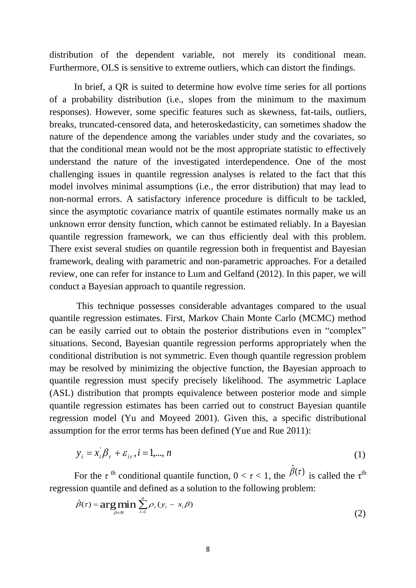distribution of the dependent variable, not merely its conditional mean. Furthermore, OLS is sensitive to extreme outliers, which can distort the findings.

In brief, a QR is suited to determine how evolve time series for all portions of a probability distribution (i.e., slopes from the minimum to the maximum responses). However, some specific features such as skewness, fat-tails, outliers, breaks, truncated-censored data, and heteroskedasticity, can sometimes shadow the nature of the dependence among the variables under study and the covariates, so that the conditional mean would not be the most appropriate statistic to effectively understand the nature of the investigated interdependence. One of the most challenging issues in quantile regression analyses is related to the fact that this model involves minimal assumptions (i.e., the error distribution) that may lead to non-normal errors. A satisfactory inference procedure is difficult to be tackled, since the asymptotic covariance matrix of quantile estimates normally make us an unknown error density function, which cannot be estimated reliably. In a Bayesian quantile regression framework, we can thus efficiently deal with this problem. There exist several studies on quantile regression both in frequentist and Bayesian framework, dealing with parametric and non-parametric approaches. For a detailed review, one can refer for instance to Lum and Gelfand (2012). In this paper, we will conduct a Bayesian approach to quantile regression.

This technique possesses considerable advantages compared to the usual quantile regression estimates. First, Markov Chain Monte Carlo (MCMC) method can be easily carried out to obtain the posterior distributions even in "complex" situations. Second, Bayesian quantile regression performs appropriately when the conditional distribution is not symmetric. Even though quantile regression problem may be resolved by minimizing the objective function, the Bayesian approach to quantile regression must specify precisely likelihood. The asymmetric Laplace (ASL) distribution that prompts equivalence between posterior mode and simple quantile regression estimates has been carried out to construct Bayesian quantile regression model [\(Yu and Moyeed 2001\)](http://biostatistics.oxfordjournals.org/content/11/2/337.full#ref-31). Given this, a specific distributional assumption for the error terms has been defined (Yue and Rue 2011):

$$
y_i = x_i \beta_\tau + \varepsilon_{i\tau}, i = 1,\dots, n \tag{1}
$$

For the  $\tau$ <sup>th</sup> conditional quantile function,  $0 < \tau < 1$ , the  $\hat{\beta}(\tau)$  is called the  $\tau$ <sup>th</sup> regression quantile and defined as a solution to the following problem:

$$
\hat{\beta}(\tau) = \arg\min_{\beta \in \mathfrak{R}} \sum_{i=1}^{n} \rho_{\tau}(y_i - x_i \beta)
$$
\n(2)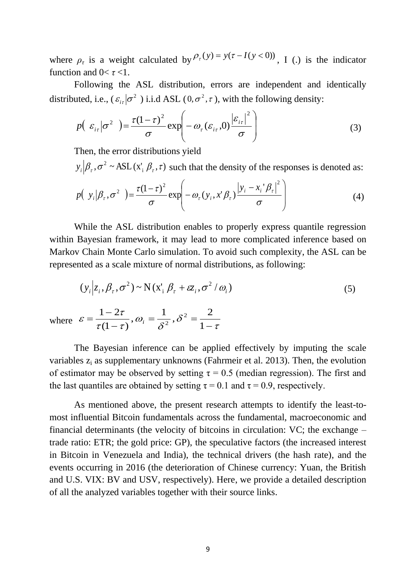where  $\rho_{\tau}$  is a weight calculated by  $\rho_{\tau}(y) = y(\tau - I(y < 0))$ , I (.) is the indicator function and  $0 < \tau < 1$ .

Following the ASL distribution, errors are independent and identically distributed, i.e.,  $(\varepsilon_{i\tau}|\sigma^2)$  i.i.d ASL  $(0,\sigma^2,\tau)$ , with the following density:

$$
p\left(\varepsilon_{i\tau}|\sigma^2\right) = \frac{\tau(1-\tau)^2}{\sigma} \exp\left(-\omega_{\tau}(\varepsilon_{i\tau},0)\frac{\left|\varepsilon_{i\tau}\right|^2}{\sigma}\right) \tag{3}
$$

Then, the error distributions yield

 $y_i | \beta_\tau, \sigma^2 \sim \text{ASL}(x_i | \beta_\tau, \tau)$  such that the density of the responses is denoted as:

$$
p(\mathbf{y}_i|\boldsymbol{\beta}_\tau,\sigma^2) = \frac{\tau(1-\tau)^2}{\sigma}\exp\left(-\omega_\tau(\mathbf{y}_i,\mathbf{x}^*\boldsymbol{\beta}_\tau)\frac{|\mathbf{y}_i-\mathbf{x}_i^*\boldsymbol{\beta}_\tau|^2}{\sigma}\right) \tag{4}
$$

While the ASL distribution enables to properly express quantile regression within Bayesian framework, it may lead to more complicated inference based on Markov Chain Monte Carlo simulation. To avoid such complexity, the ASL can be represented as a scale mixture of normal distributions, as following:

$$
(y_i | z_i, \beta_\tau, \sigma^2) \sim N(x_i' | \beta_\tau + \varepsilon z_i, \sigma^2 / \omega_i)
$$
\n(5)

where  $\varepsilon = \frac{\varepsilon}{\tau(1-\tau)}, \omega_i = \frac{\varepsilon}{\delta^2}, \delta^2 = \frac{\varepsilon}{1-\tau}$  $\delta$  $\omega_i = \frac{\overline{\phantom{0}}}{\delta}$  $\tau(1-\tau)$ , $\tau$  $\varepsilon = \frac{\varepsilon}{\tau(1-\tau)}, \omega_i = \frac{\varepsilon}{\delta^2}, \sigma^2 = \frac{\varepsilon}{1-\varepsilon}$  $=\frac{1}{2}, \delta^2 =$  $\overline{a}$  $\overline{a}$  $=$ 1 2 , 1 ,  $(1 - \tau)$  $1 - 2\tau$   $\Omega = \frac{1}{s^2}$  $\overline{i} = \frac{1}{s^2}$ 

The Bayesian inference can be applied effectively by imputing the scale variables  $z_i$  as supplementary unknowns (Fahrmeir et al. 2013). Then, the evolution of estimator may be observed by setting  $\tau = 0.5$  (median regression). The first and the last quantiles are obtained by setting  $\tau = 0.1$  and  $\tau = 0.9$ , respectively.

As mentioned above, the present research attempts to identify the least-tomost influential Bitcoin fundamentals across the fundamental, macroeconomic and financial determinants (the velocity of bitcoins in circulation: VC; the exchange – trade ratio: ETR; the gold price: GP), the speculative factors (the increased interest in Bitcoin in Venezuela and India), the technical drivers (the hash rate), and the events occurring in 2016 (the deterioration of Chinese currency: Yuan, the British and U.S. VIX: BV and USV, respectively). Here, we provide a detailed description of all the analyzed variables together with their source links.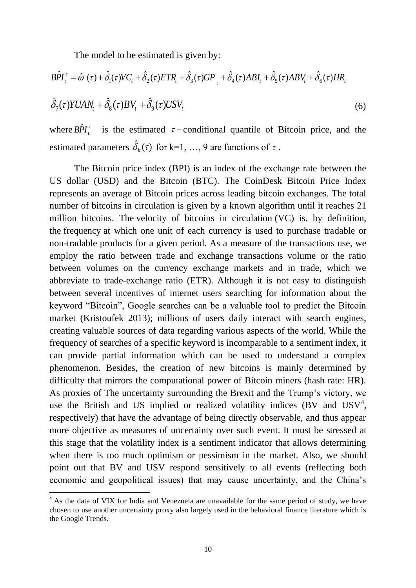The model to be estimated is given by:

The model to be estimated is given by:  
\n
$$
B\hat{P}I_t^{\tau} = \hat{\omega}(\tau) + \hat{\delta}_1(\tau)VC_t + \hat{\delta}_2(\tau)ETR_t + \hat{\delta}_3(\tau)GP_t + \hat{\delta}_4(\tau)ABI_t + \hat{\delta}_5(\tau)ABV_t + \hat{\delta}_6(\tau)HR_t
$$
\n
$$
\hat{\delta}_7(\tau)YUAN_t + \hat{\delta}_8(\tau)BV_t + \hat{\delta}_9(\tau)USV_t
$$
\n(6)

where  $B\hat{P}I_t^{\tau}$  is the estimated  $\tau$ -conditional quantile of Bitcoin price, and the estimated parameters  $\hat{\delta}_k(\tau)$  for k=1, ..., 9 are functions of  $\tau$ .

The Bitcoin price index (BPI) is an index of the exchange rate between the US dollar (USD) and the Bitcoin (BTC). The CoinDesk Bitcoin Price Index represents an average of Bitcoin prices across leading bitcoin exchanges. The total number of bitcoins in circulation is given by a known algorithm until it reaches 21 million bitcoins. The velocity of bitcoins in circulation (VC) is, by definition, the [frequency](http://en.wikipedia.org/wiki/Frequency) at which one unit of each currency is used to purchase tradable or non-tradable products for a given period. As a measure of the transactions use, we employ the ratio between trade and exchange transactions volume or the ratio between volumes on the currency exchange markets and in trade, which we abbreviate to trade-exchange ratio (ETR). Although it is not easy to distinguish between several incentives of internet users searching for information about the keyword "Bitcoin", Google searches can be a valuable tool to predict the Bitcoin market (Kristoufek 2013); millions of users daily interact with search engines, creating valuable sources of data regarding various aspects of the world. While the frequency of searches of a specific keyword is incomparable to a sentiment index, it can provide partial information which can be used to understand a complex phenomenon. Besides, the creation of new bitcoins is mainly determined by difficulty that mirrors the computational power of Bitcoin miners (hash rate: HR). As proxies of The uncertainty surrounding the Brexit and the Trump's victory, we use the British and US implied or realized volatility indices (BV and  $USV<sup>4</sup>$ , respectively) that have the advantage of being directly observable, and thus appear more objective as measures of uncertainty over such event. It must be stressed at this stage that the volatility index is a sentiment indicator that allows determining when there is too much optimism or pessimism in the [market.](http://www.investinganswers.com/node/3609) Also, we should point out that BV and USV respond sensitively to all events (reflecting both economic and geopolitical issues) that may cause uncertainty, and the China's

1

<sup>&</sup>lt;sup>4</sup> As the data of VIX for India and Venezuela are unavailable for the same period of study, we have chosen to use another uncertainty proxy also largely used in the behavioral finance literature which is the Google Trends.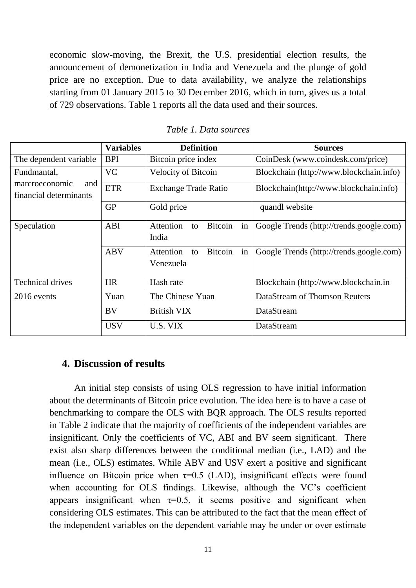economic slow-moving, the Brexit, the U.S. presidential election results, the announcement of demonetization in India and Venezuela and the plunge of gold price are no exception. Due to data availability, we analyze the relationships starting from 01 January 2015 to 30 December 2016, which in turn, gives us a total of 729 observations. Table 1 reports all the data used and their sources.

|                                                 | <b>Variables</b> | <b>Definition</b>                                    | <b>Sources</b>                           |  |
|-------------------------------------------------|------------------|------------------------------------------------------|------------------------------------------|--|
| The dependent variable                          | <b>BPI</b>       | Bitcoin price index                                  | CoinDesk (www.coindesk.com/price)        |  |
| Fundmantal,                                     | <b>VC</b>        | <b>Velocity of Bitcoin</b>                           | Blockchain (http://www.blockchain.info)  |  |
| marcroeconomic<br>and<br>financial determinants | <b>ETR</b>       | <b>Exchange Trade Ratio</b>                          | Blockchain(http://www.blockchain.info)   |  |
|                                                 | <b>GP</b>        | Gold price                                           | quandl website                           |  |
| Speculation                                     | ABI              | Attention<br><b>Bitcoin</b><br>in<br>to<br>India     | Google Trends (http://trends.google.com) |  |
|                                                 | <b>ABV</b>       | Attention<br><b>Bitcoin</b><br>in<br>to<br>Venezuela | Google Trends (http://trends.google.com) |  |
| <b>Technical drives</b>                         | <b>HR</b>        | Hash rate                                            | Blockchain (http://www.blockchain.in     |  |
| 2016 events                                     | Yuan             | The Chinese Yuan                                     | DataStream of Thomson Reuters            |  |
|                                                 | BV               | <b>British VIX</b>                                   | DataStream                               |  |
|                                                 | <b>USV</b>       | U.S. VIX                                             | DataStream                               |  |

*Table 1. Data sources*

# **4. Discussion of results**

An initial step consists of using OLS regression to have initial information about the determinants of Bitcoin price evolution. The idea here is to have a case of benchmarking to compare the OLS with BQR approach. The OLS results reported in Table 2 indicate that the majority of coefficients of the independent variables are insignificant. Only the coefficients of VC, ABI and BV seem significant. There exist also sharp differences between the conditional median (i.e., LAD) and the mean (i.e., OLS) estimates. While ABV and USV exert a positive and significant influence on Bitcoin price when  $\tau=0.5$  (LAD), insignificant effects were found when accounting for OLS findings. Likewise, although the VC's coefficient appears insignificant when  $\tau=0.5$ , it seems positive and significant when considering OLS estimates. This can be attributed to the fact that the mean effect of the independent variables on the dependent variable may be under or over estimate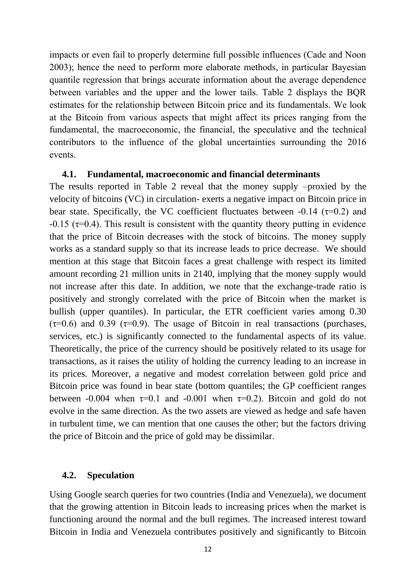impacts or even fail to properly determine full possible influences (Cade and Noon 2003); hence the need to perform more elaborate methods, in particular Bayesian quantile regression that brings accurate information about the average dependence between variables and the upper and the lower tails. Table 2 displays the BQR estimates for the relationship between Bitcoin price and its fundamentals. We look at the Bitcoin from various aspects that might affect its prices ranging from the fundamental, the macroeconomic, the financial, the speculative and the technical contributors to the influence of the global uncertainties surrounding the 2016 events.

### **4.1. Fundamental, macroeconomic and financial determinants**

The results reported in Table 2 reveal that the money supply –proxied by the velocity of bitcoins (VC) in circulation- exerts a negative impact on Bitcoin price in bear state. Specifically, the VC coefficient fluctuates between  $-0.14$  ( $\tau=0.2$ ) and  $-0.15$  ( $\tau$ =0.4). This result is consistent with the quantity theory putting in evidence that the price of Bitcoin decreases with the stock of bitcoins. The money supply works as a standard supply so that its increase leads to price decrease. We should mention at this stage that Bitcoin faces a great challenge with respect its limited amount recording 21 million units in 2140, implying that the money supply would not increase after this date. In addition, we note that the exchange-trade ratio is positively and strongly correlated with the price of Bitcoin when the market is bullish (upper quantiles). In particular, the ETR coefficient varies among 0.30  $(\tau=0.6)$  and 0.39 ( $\tau=0.9$ ). The usage of Bitcoin in real transactions (purchases, services, etc.) is significantly connected to the fundamental aspects of its value. Theoretically, the price of the currency should be positively related to its usage for transactions, as it raises the utility of holding the currency leading to an increase in its prices. Moreover, a negative and modest correlation between gold price and Bitcoin price was found in bear state (bottom quantiles; the GP coefficient ranges between -0.004 when  $\tau=0.1$  and -0.001 when  $\tau=0.2$ ). Bitcoin and gold do not evolve in the same direction. As the two assets are viewed as hedge and safe haven in turbulent time, we can mention that one causes the other; but the factors driving the price of Bitcoin and the price of gold may be dissimilar.

#### **4.2. Speculation**

Using Google search queries for two countries (India and Venezuela), we document that the growing attention in Bitcoin leads to increasing prices when the market is functioning around the normal and the bull regimes. The increased interest toward Bitcoin in India and Venezuela contributes positively and significantly to Bitcoin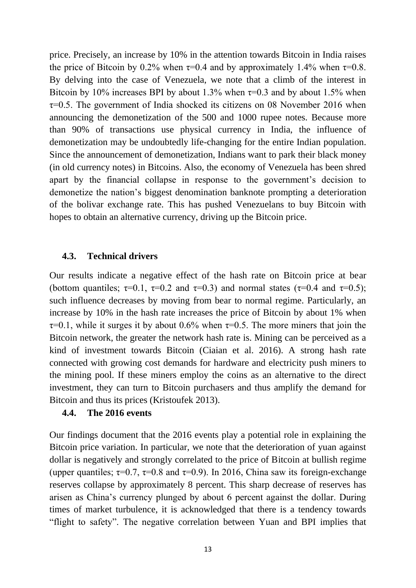price. Precisely, an increase by 10% in the attention towards Bitcoin in India raises the price of Bitcoin by 0.2% when  $\tau$ =0.4 and by approximately 1.4% when  $\tau$ =0.8. By delving into the case of Venezuela, we note that a climb of the interest in Bitcoin by 10% increases BPI by about 1.3% when  $\tau$ =0.3 and by about 1.5% when  $\tau$ =0.5. The government of India shocked its citizens on 08 November 2016 when announcing the demonetization of the 500 and 1000 rupee notes. Because more than 90% of transactions use physical currency in India, the influence of demonetization may be undoubtedly life-changing for the entire Indian population. Since the announcement of demonetization, Indians want to park their black money (in old currency notes) in Bitcoins. Also, the economy of Venezuela has been shred apart by the financial collapse in response to the government's decision to demonetize the nation's biggest denomination banknote prompting a deterioration of the bolivar exchange rate. This has pushed Venezuelans to buy Bitcoin with hopes to obtain an alternative currency, driving up the Bitcoin price.

# **4.3. Technical drivers**

Our results indicate a negative effect of the hash rate on Bitcoin price at bear (bottom quantiles;  $\tau=0.1$ ,  $\tau=0.2$  and  $\tau=0.3$ ) and normal states ( $\tau=0.4$  and  $\tau=0.5$ ); such influence decreases by moving from bear to normal regime. Particularly, an increase by 10% in the hash rate increases the price of Bitcoin by about 1% when  $\tau$ =0.1, while it surges it by about 0.6% when  $\tau$ =0.5. The more miners that join the Bitcoin network, the greater the network hash rate is. Mining can be perceived as a kind of investment towards Bitcoin (Ciaian et al. 2016). A strong hash rate connected with growing cost demands for hardware and electricity push miners to the mining pool. If these miners employ the coins as an alternative to the direct investment, they can turn to Bitcoin purchasers and thus amplify the demand for Bitcoin and thus its prices (Kristoufek 2013).

# **4.4. The 2016 events**

Our findings document that the 2016 events play a potential role in explaining the Bitcoin price variation. In particular, we note that the deterioration of yuan against dollar is negatively and strongly correlated to the price of Bitcoin at bullish regime (upper quantiles;  $\tau=0.7$ ,  $\tau=0.8$  and  $\tau=0.9$ ). In 2016, China saw its foreign-exchange [reserves collapse](http://www.scmp.com/business/banking-finance/article/2057673/china-may-tighten-capital-controls-yuan-outflow-continues) by approximately 8 percent. This sharp decrease of reserves has arisen as China's currency plunged by about 6 percent against the dollar. During times of market turbulence, it is acknowledged that there is a tendency towards "flight to safety". The negative correlation between Yuan and BPI implies that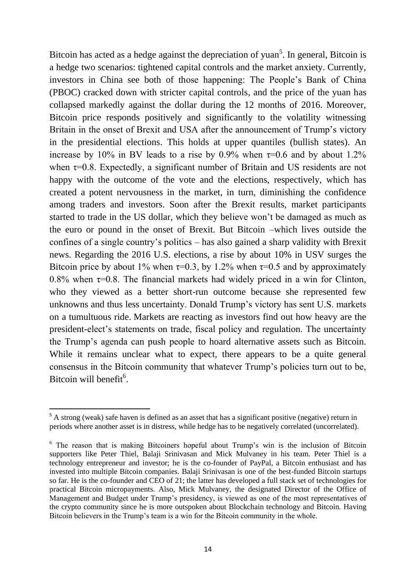Bitcoin has acted as a hedge against the depreciation of yuan<sup>5</sup>. In general, Bitcoin is a hedge two scenarios: tightened capital controls and the market anxiety. Currently, investors in China see both of those happening: The People's Bank of China (PBOC) [cracked down with stricter capital controls,](http://www.wsj.com/articles/china-central-bank-seeks-more-control-over-wealth-management-products-1477450399) and the price of the yuan has collapsed markedly against the dollar during the 12 months of 2016. Moreover, Bitcoin price responds positively and significantly to the volatility witnessing Britain in the onset of Brexit and USA after the announcement of Trump's victory in the presidential elections. This holds at upper quantiles (bullish states). An increase by 10% in BV leads to a rise by 0.9% when  $\tau$ =0.6 and by about 1.2% when  $\tau$ =0.8. Expectedly, a significant number of Britain and US residents are not happy with the outcome of the vote and the elections, respectively, which has created a potent nervousness in the market, in turn, diminishing the confidence among traders and investors. Soon after the Brexit results, market participants started to trade in the US dollar, which they believe won't be damaged as much as the euro or pound in the onset of Brexit. But Bitcoin –which lives outside the confines of a single country's politics – has also gained a sharp validity with Brexit news. Regarding the 2016 U.S. elections, a rise by about 10% in USV surges the Bitcoin price by about 1% when  $\tau=0.3$ , by 1.2% when  $\tau=0.5$  and by approximately 0.8% when  $\tau$ =0.8. The financial markets had widely priced in a win for Clinton, who they viewed as a better short-run outcome because she represented few unknowns and thus less uncertainty. Donald Trump's victory has sent U.S. markets on a tumultuous ride. Markets are reacting as investors find out how heavy are the president-elect's statements on trade, fiscal policy and regulation. The uncertainty the Trump's agenda can push people to hoard alternative assets such as Bitcoin. While it remains unclear what to expect, there appears to be a quite general consensus in the Bitcoin community that whatever Trump's policies turn out to be, [Bitcoin will benefit](https://www.bitwala.io/why-president-trump-is-good-for-bitcoin/)<sup>6</sup>.

**.** 

<sup>&</sup>lt;sup>5</sup> A strong (weak) safe haven is defined as an asset that has a significant positive (negative) return in periods where another asset is in distress, while hedge has to be negatively correlated (uncorrelated).

<sup>&</sup>lt;sup>6</sup> The reason that is making Bitcoiners hopeful about Trump's win is the inclusion of Bitcoin supporters like [Peter Thiel,](https://en.wikipedia.org/wiki/Peter_Thiel) Balaji Srinivasan and Mick Mulvaney in his team. Peter Thiel is a technology entrepreneur and investor; he is the co-founder of PayPal, a Bitcoin [enthusiast](http://www.coindesk.com/peter-thiel-claims-bitcoin-potential-change-world/) and has invested into multiple Bitcoin companies. Balaji Srinivasan is one of the best-funded Bitcoin startups so far. He is the co-founder and CEO of [21;](https://21.co/) the latter has developed a full stack set of technologies for practical Bitcoin micropayments. Also, Mick Mulvaney, the designated Director of the Office of Management and Budget under Trump's presidency, is viewed as one of the most representatives of the crypto community since he is more outspoken about Blockchain technology and Bitcoin. Having Bitcoin believers in the Trump's team is a win for the Bitcoin community in the whole.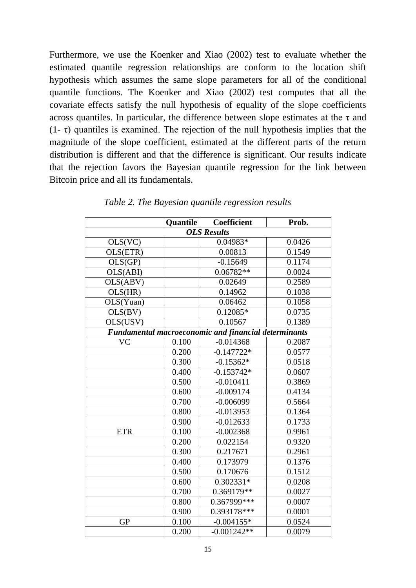Furthermore, we use the Koenker and Xiao (2002) test to evaluate whether the estimated quantile regression relationships are conform to the location shift hypothesis which assumes the same slope parameters for all of the conditional quantile functions. The Koenker and Xiao (2002) test computes that all the covariate effects satisfy the null hypothesis of equality of the slope coefficients across quantiles. In particular, the difference between slope estimates at the  $\tau$  and  $(1 - \tau)$  quantiles is examined. The rejection of the null hypothesis implies that the magnitude of the slope coefficient, estimated at the different parts of the return distribution is different and that the difference is significant. Our results indicate that the rejection favors the Bayesian quantile regression for the link between Bitcoin price and all its fundamentals.

|                    | <b>Quantile</b> | Coefficient                                                 | Prob.  |  |
|--------------------|-----------------|-------------------------------------------------------------|--------|--|
| <b>OLS Results</b> |                 |                                                             |        |  |
| OLS(VC)            |                 | 0.04983*                                                    | 0.0426 |  |
| OLS(ETR)           |                 | 0.00813                                                     | 0.1549 |  |
| OLS(GP)            |                 | $-0.15649$                                                  | 0.1174 |  |
| OLS(ABI)           |                 | $0.06782**$                                                 | 0.0024 |  |
| OLS(ABV)           |                 | 0.02649                                                     | 0.2589 |  |
| OLS(HR)            |                 | 0.14962                                                     | 0.1038 |  |
| OLS(Yuan)          |                 | 0.06462                                                     | 0.1058 |  |
| OLS(BV)            |                 | $0.12085*$                                                  | 0.0735 |  |
| OLS(USV)           |                 | 0.10567                                                     | 0.1389 |  |
|                    |                 | <b>Fundamental macroeconomic and financial determinants</b> |        |  |
| <b>VC</b>          | 0.100           | $-0.014368$                                                 | 0.2087 |  |
|                    | 0.200           | $-0.147722*$                                                | 0.0577 |  |
|                    | 0.300           | $-0.15362*$                                                 | 0.0518 |  |
|                    | 0.400           | $-0.153742*$                                                | 0.0607 |  |
|                    | 0.500           | $-0.010411$                                                 | 0.3869 |  |
|                    | 0.600           | $-0.009174$                                                 | 0.4134 |  |
|                    | 0.700           | $-0.006099$                                                 | 0.5664 |  |
|                    | 0.800           | $-0.013953$                                                 | 0.1364 |  |
|                    | 0.900           | $-0.012633$                                                 | 0.1733 |  |
| <b>ETR</b>         | 0.100           | $-0.002368$                                                 | 0.9961 |  |
|                    | 0.200           | 0.022154                                                    | 0.9320 |  |
|                    | 0.300           | 0.217671                                                    | 0.2961 |  |
|                    | 0.400           | 0.173979                                                    | 0.1376 |  |
|                    | 0.500           | 0.170676                                                    | 0.1512 |  |
|                    | 0.600           | $0.302331*$                                                 | 0.0208 |  |
|                    | 0.700           | $0.369179**$                                                | 0.0027 |  |
|                    | 0.800           | $0.367999***$                                               | 0.0007 |  |
|                    | 0.900           | 0.393178***                                                 | 0.0001 |  |
| <b>GP</b>          | 0.100           | $-0.004155*$                                                | 0.0524 |  |
|                    | 0.200           | $-0.001242**$                                               | 0.0079 |  |

*Table 2. The Bayesian quantile regression results*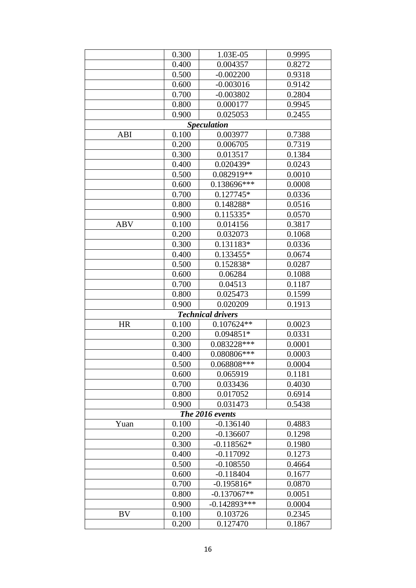|                 | 0.300 | 1.03E-05                 | 0.9995 |  |  |
|-----------------|-------|--------------------------|--------|--|--|
|                 | 0.400 | 0.004357                 | 0.8272 |  |  |
|                 | 0.500 | $-0.002200$              | 0.9318 |  |  |
|                 | 0.600 | $-0.003016$              | 0.9142 |  |  |
|                 | 0.700 | $-0.003802$              | 0.2804 |  |  |
|                 | 0.800 | 0.000177                 | 0.9945 |  |  |
|                 | 0.900 | 0.025053                 | 0.2455 |  |  |
|                 |       | <b>Speculation</b>       |        |  |  |
| ABI             | 0.100 | 0.003977                 | 0.7388 |  |  |
|                 | 0.200 | 0.006705                 | 0.7319 |  |  |
|                 | 0.300 | 0.013517                 | 0.1384 |  |  |
|                 | 0.400 | 0.020439*                | 0.0243 |  |  |
|                 | 0.500 | 0.082919**               | 0.0010 |  |  |
|                 | 0.600 | 0.138696***              | 0.0008 |  |  |
|                 | 0.700 | $0.127745*$              | 0.0336 |  |  |
|                 | 0.800 | 0.148288*                | 0.0516 |  |  |
|                 | 0.900 | $0.115335*$              | 0.0570 |  |  |
| <b>ABV</b>      | 0.100 | 0.014156                 | 0.3817 |  |  |
|                 | 0.200 | 0.032073                 | 0.1068 |  |  |
|                 | 0.300 | 0.131183*                | 0.0336 |  |  |
|                 | 0.400 | 0.133455*                | 0.0674 |  |  |
|                 | 0.500 | 0.152838*                | 0.0287 |  |  |
|                 | 0.600 | 0.06284                  | 0.1088 |  |  |
|                 | 0.700 | 0.04513                  | 0.1187 |  |  |
|                 | 0.800 | 0.025473                 | 0.1599 |  |  |
|                 | 0.900 | 0.020209                 | 0.1913 |  |  |
|                 |       | <b>Technical drivers</b> |        |  |  |
| <b>HR</b>       | 0.100 | $0.107624**$             | 0.0023 |  |  |
|                 | 0.200 | 0.094851*                | 0.0331 |  |  |
|                 | 0.300 | 0.083228***              | 0.0001 |  |  |
|                 | 0.400 | 0.080806 ***             | 0.0003 |  |  |
|                 | 0.500 | $0.068808***$            | 0.0004 |  |  |
|                 | 0.600 | 0.065919                 | 0.1181 |  |  |
|                 | 0.700 | 0.033436                 | 0.4030 |  |  |
|                 | 0.800 | 0.017052                 | 0.6914 |  |  |
|                 | 0.900 | 0.031473                 | 0.5438 |  |  |
| The 2016 events |       |                          |        |  |  |
| Yuan            | 0.100 | $-0.136140$              | 0.4883 |  |  |
|                 | 0.200 | $-0.136607$              | 0.1298 |  |  |
|                 | 0.300 | $-0.118562*$             | 0.1980 |  |  |
|                 | 0.400 | $-0.117092$              | 0.1273 |  |  |
|                 | 0.500 | $-0.108550$              | 0.4664 |  |  |
|                 | 0.600 | $-0.118404$              | 0.1677 |  |  |
|                 | 0.700 | $-0.195816*$             | 0.0870 |  |  |
|                 | 0.800 | $-0.137067**$            | 0.0051 |  |  |
|                 | 0.900 | $-0.142893***$           | 0.0004 |  |  |
| <b>BV</b>       | 0.100 | 0.103726                 | 0.2345 |  |  |
|                 | 0.200 | 0.127470                 | 0.1867 |  |  |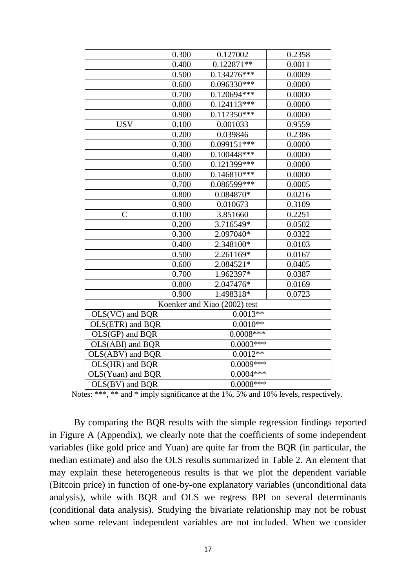|                     | 0.300       | 0.127002                     | 0.2358 |
|---------------------|-------------|------------------------------|--------|
|                     | 0.400       | $0.122871**$                 | 0.0011 |
|                     | 0.500       | $0.134276***$                | 0.0009 |
|                     | 0.600       | 0.096330***                  | 0.0000 |
|                     | 0.700       | 0.120694***                  | 0.0000 |
|                     | 0.800       | $0.124113***$                | 0.0000 |
|                     | 0.900       | $0.117350***$                | 0.0000 |
| <b>USV</b>          | 0.100       | 0.001033                     | 0.9559 |
|                     | 0.200       | 0.039846                     | 0.2386 |
|                     | 0.300       | $0.099151***$                | 0.0000 |
|                     | 0.400       | $0.100448***$                | 0.0000 |
|                     | 0.500       | 0.121399***                  | 0.0000 |
|                     | 0.600       | $0.146810***$                | 0.0000 |
|                     | 0.700       | 0.086599***                  | 0.0005 |
|                     | 0.800       | $0.084870*$                  | 0.0216 |
|                     | 0.900       | 0.010673                     | 0.3109 |
| $\mathsf{C}$        | 0.100       | 3.851660                     | 0.2251 |
|                     | 0.200       | 3.716549*                    | 0.0502 |
|                     | 0.300       | 2.097040*                    | 0.0322 |
|                     | 0.400       | 2.348100*                    | 0.0103 |
|                     | 0.500       | 2.261169*                    | 0.0167 |
|                     | 0.600       | 2.084521*                    | 0.0405 |
|                     | 0.700       | 1.962397*                    | 0.0387 |
|                     | 0.800       | 2.047476*                    | 0.0169 |
|                     | 0.900       | 1.498318*                    | 0.0723 |
|                     |             | Koenker and Xiao (2002) test |        |
| OLS(VC) and BQR     | $0.0013**$  |                              |        |
| OLS(ETR) and BQR    | $0.0010**$  |                              |        |
| $OLS(GP)$ and $BQR$ | $0.0008***$ |                              |        |
| OLS(ABI) and BQR    | $0.0003***$ |                              |        |
| OLS(ABV) and BQR    | $0.0012**$  |                              |        |
| OLS(HR) and BQR     | $0.0009***$ |                              |        |
| OLS(Yuan) and BQR   | $0.0004***$ |                              |        |
| $OLS(BV)$ and $BQR$ | $0.0008***$ |                              |        |
|                     |             |                              |        |

Notes: \*\*\*, \*\* and \* imply significance at the 1%, 5% and 10% levels, respectively.

By comparing the BQR results with the simple regression findings reported in Figure A (Appendix), we clearly note that the coefficients of some independent variables (like gold price and Yuan) are quite far from the BQR (in particular, the median estimate) and also the OLS results summarized in Table 2. An element that may explain these heterogeneous results is that we plot the dependent variable (Bitcoin price) in function of one-by-one explanatory variables (unconditional data analysis), while with BQR and OLS we regress BPI on several determinants (conditional data analysis). Studying the bivariate relationship may not be robust when some relevant independent variables are not included. When we consider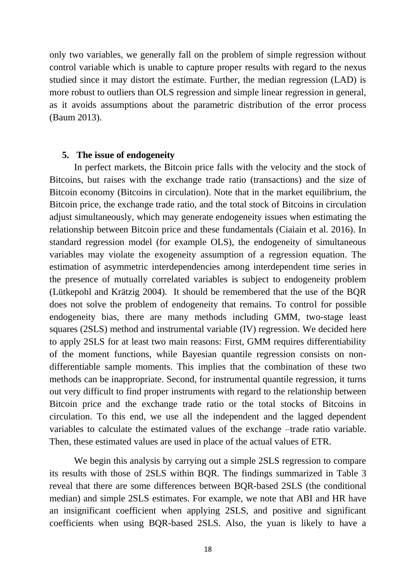only two variables, we generally fall on the problem of simple regression without control variable which is unable to capture proper results with regard to the nexus studied since it may distort the estimate. Further, the median regression (LAD) is more robust to outliers than OLS regression and simple linear regression in general, as it avoids assumptions about the parametric distribution of the error process (Baum 2013).

#### **5. The issue of endogeneity**

In perfect markets, the Bitcoin price falls with the velocity and the stock of Bitcoins, but raises with the exchange trade ratio (transactions) and the size of Bitcoin economy (Bitcoins in circulation). Note that in the market equilibrium, the Bitcoin price, the exchange trade ratio, and the total stock of Bitcoins in circulation adjust simultaneously, which may generate endogeneity issues when estimating the relationship between Bitcoin price and these fundamentals (Ciaiain et al. 2016). In standard regression model (for example OLS), the endogeneity of simultaneous variables may violate the exogeneity assumption of a regression equation. The estimation of asymmetric interdependencies among interdependent time series in the presence of mutually correlated variables is subject to endogeneity problem (Lütkepohl and Krätzig 2004). It should be remembered that the use of the BQR does not solve the problem of endogeneity that remains. To control for possible endogeneity bias, there are many methods including GMM, two-stage least squares (2SLS) method and instrumental variable (IV) regression. We decided here to apply 2SLS for at least two main reasons: First, GMM requires differentiability of the moment functions, while Bayesian quantile regression consists on nondifferentiable sample moments. This implies that the combination of these two methods can be inappropriate. Second, for instrumental quantile regression, it turns out very difficult to find proper instruments with regard to the relationship between Bitcoin price and the exchange trade ratio or the total stocks of Bitcoins in circulation. To this end, we use all the independent and the lagged dependent variables to calculate the estimated values of the exchange –trade ratio variable. Then, these estimated values are used in place of the actual values of ETR.

We begin this analysis by carrying out a simple 2SLS regression to compare its results with those of 2SLS within BQR. The findings summarized in Table 3 reveal that there are some differences between BQR-based 2SLS (the conditional median) and simple 2SLS estimates. For example, we note that ABI and HR have an insignificant coefficient when applying 2SLS, and positive and significant coefficients when using BQR-based 2SLS. Also, the yuan is likely to have a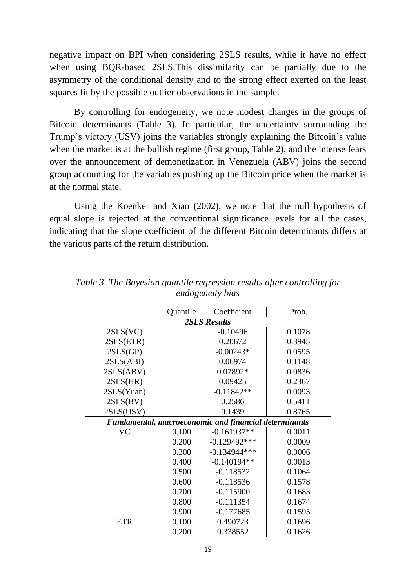negative impact on BPI when considering 2SLS results, while it have no effect when using BQR-based 2SLS.This dissimilarity can be partially due to the asymmetry of the conditional density and to the strong effect exerted on the least squares fit by the possible outlier observations in the sample.

By controlling for endogeneity, we note modest changes in the groups of Bitcoin determinants (Table 3). In particular, the uncertainty surrounding the Trump's victory (USV) joins the variables strongly explaining the Bitcoin's value when the market is at the bullish regime (first group, Table 2), and the intense fears over the announcement of demonetization in Venezuela (ABV) joins the second group accounting for the variables pushing up the Bitcoin price when the market is at the normal state.

Using the Koenker and Xiao (2002), we note that the null hypothesis of equal slope is rejected at the conventional significance levels for all the cases, indicating that the slope coefficient of the different Bitcoin determinants differs at the various parts of the return distribution.

|                     | Quantile | Coefficient                                           | Prob.  |
|---------------------|----------|-------------------------------------------------------|--------|
| <b>2SLS Results</b> |          |                                                       |        |
| 2SLS(VC)            |          | $-0.10496$                                            | 0.1078 |
| 2SLS(ETR)           |          | 0.20672                                               | 0.3945 |
| 2SLS(GP)            |          | $-0.00243*$                                           | 0.0595 |
| 2SLS(ABI)           |          | 0.06974                                               | 0.1148 |
| 2SLS(ABV)           |          | 0.07892*                                              | 0.0836 |
| 2SLS(HR)            |          | 0.09425                                               | 0.2367 |
| 2SLS(Yuan)          |          | $-0.11842**$                                          | 0.0093 |
| 2SLS(BV)            |          | 0.2586                                                | 0.5411 |
| 2SLS(USV)           |          | 0.1439                                                | 0.8765 |
|                     |          | Fundamental, macroeconomic and financial determinants |        |
| VC                  | 0.100    | $-0.161937**$                                         | 0.0011 |
|                     | 0.200    | $-0.129492***$                                        | 0.0009 |
|                     | 0.300    | $-0.134944***$                                        | 0.0006 |
|                     | 0.400    | $-0.140194**$                                         | 0.0013 |
|                     | 0.500    | $-0.118532$                                           | 0.1064 |
|                     | 0.600    | $-0.118536$                                           | 0.1578 |
|                     | 0.700    | $-0.115900$                                           | 0.1683 |
|                     | 0.800    | $-0.111354$                                           | 0.1674 |
|                     | 0.900    | $-0.177685$                                           | 0.1595 |
| <b>ETR</b>          | 0.100    | 0.490723                                              | 0.1696 |
|                     | 0.200    | 0.338552                                              | 0.1626 |

*Table 3. The Bayesian quantile regression results after controlling for endogeneity bias*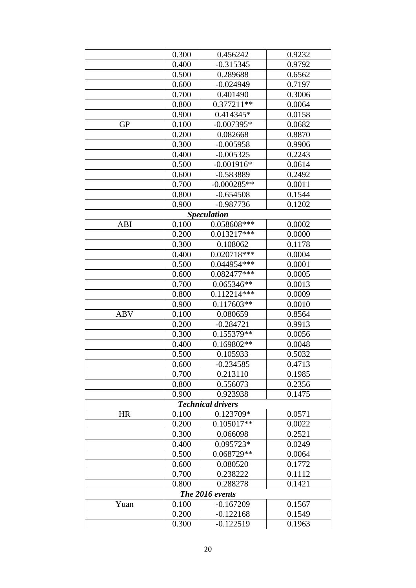|                          | 0.300 | 0.456242           | 0.9232 |  |
|--------------------------|-------|--------------------|--------|--|
|                          | 0.400 | $-0.315345$        | 0.9792 |  |
|                          | 0.500 | 0.289688           | 0.6562 |  |
|                          | 0.600 | $-0.024949$        | 0.7197 |  |
|                          | 0.700 | 0.401490           | 0.3006 |  |
|                          | 0.800 | $0.377211**$       | 0.0064 |  |
|                          | 0.900 | 0.414345*          | 0.0158 |  |
| <b>GP</b>                | 0.100 | $-0.007395*$       | 0.0682 |  |
|                          | 0.200 | 0.082668           | 0.8870 |  |
|                          | 0.300 | $-0.005958$        | 0.9906 |  |
|                          | 0.400 | $-0.005325$        | 0.2243 |  |
|                          | 0.500 | $-0.001916*$       | 0.0614 |  |
|                          | 0.600 | $-0.583889$        | 0.2492 |  |
|                          | 0.700 | $-0.000285**$      | 0.0011 |  |
|                          | 0.800 | $-0.654508$        | 0.1544 |  |
|                          | 0.900 | $-0.987736$        | 0.1202 |  |
|                          |       | <b>Speculation</b> |        |  |
| ABI                      | 0.100 | 0.058608***        | 0.0002 |  |
|                          | 0.200 | $0.013217***$      | 0.0000 |  |
|                          | 0.300 | 0.108062           | 0.1178 |  |
|                          | 0.400 | $0.020718***$      | 0.0004 |  |
|                          | 0.500 | 0.044954 ***       | 0.0001 |  |
|                          | 0.600 | 0.082477***        | 0.0005 |  |
|                          | 0.700 | $0.065346**$       | 0.0013 |  |
|                          | 0.800 | $0.112214***$      | 0.0009 |  |
|                          | 0.900 | $0.117603**$       | 0.0010 |  |
| <b>ABV</b>               | 0.100 | 0.080659           | 0.8564 |  |
|                          | 0.200 | $-0.284721$        | 0.9913 |  |
|                          | 0.300 | 0.155379**         | 0.0056 |  |
|                          | 0.400 | 0.169802**         | 0.0048 |  |
|                          | 0.500 | 0.105933           | 0.5032 |  |
|                          | 0.600 | $-0.234585$        | 0.4713 |  |
|                          | 0.700 | 0.213110           | 0.1985 |  |
|                          | 0.800 | 0.556073           | 0.2356 |  |
|                          | 0.900 | 0.923938           | 0.1475 |  |
| <b>Technical drivers</b> |       |                    |        |  |
| <b>HR</b>                | 0.100 | $0.123709*$        | 0.0571 |  |
|                          | 0.200 | $0.105017**$       | 0.0022 |  |
|                          | 0.300 | 0.066098           | 0.2521 |  |
|                          | 0.400 | 0.095723*          | 0.0249 |  |
|                          | 0.500 | 0.068729**         | 0.0064 |  |
|                          | 0.600 | 0.080520           | 0.1772 |  |
|                          | 0.700 | 0.238222           | 0.1112 |  |
|                          | 0.800 | 0.288278           | 0.1421 |  |
| The 2016 events          |       |                    |        |  |
| Yuan                     | 0.100 | $-0.167209$        | 0.1567 |  |
|                          | 0.200 | $-0.122168$        | 0.1549 |  |
|                          | 0.300 | $-0.122519$        | 0.1963 |  |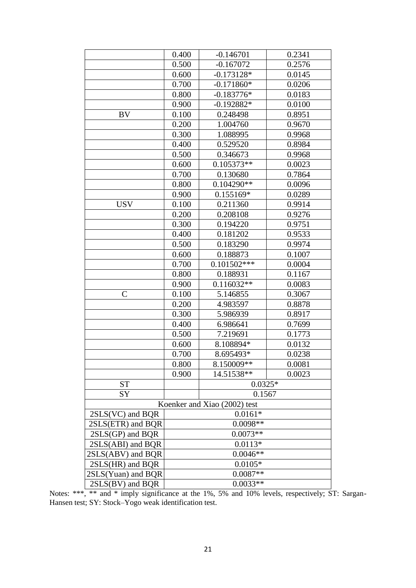|                              | 0.400      | $-0.146701$   | 0.2341 |  |
|------------------------------|------------|---------------|--------|--|
|                              | 0.500      | $-0.167072$   | 0.2576 |  |
|                              | 0.600      | $-0.173128*$  | 0.0145 |  |
|                              | 0.700      | $-0.171860*$  | 0.0206 |  |
|                              | 0.800      | $-0.183776*$  | 0.0183 |  |
|                              | 0.900      | $-0.192882*$  | 0.0100 |  |
| <b>BV</b>                    | 0.100      | 0.248498      | 0.8951 |  |
|                              | 0.200      | 1.004760      | 0.9670 |  |
|                              | 0.300      | 1.088995      | 0.9968 |  |
|                              | 0.400      | 0.529520      | 0.8984 |  |
|                              | 0.500      | 0.346673      | 0.9968 |  |
|                              | 0.600      | $0.105373**$  | 0.0023 |  |
|                              | 0.700      | 0.130680      | 0.7864 |  |
|                              | 0.800      | $0.104290**$  | 0.0096 |  |
|                              | 0.900      | 0.155169*     | 0.0289 |  |
| <b>USV</b>                   | 0.100      | 0.211360      | 0.9914 |  |
|                              | 0.200      | 0.208108      | 0.9276 |  |
|                              | 0.300      | 0.194220      | 0.9751 |  |
|                              | 0.400      | 0.181202      | 0.9533 |  |
|                              | 0.500      | 0.183290      | 0.9974 |  |
|                              | 0.600      | 0.188873      | 0.1007 |  |
|                              | 0.700      | $0.101502***$ | 0.0004 |  |
|                              | 0.800      | 0.188931      | 0.1167 |  |
|                              | 0.900      | $0.116032**$  | 0.0083 |  |
| $\mathsf C$                  | 0.100      | 5.146855      | 0.3067 |  |
|                              | 0.200      | 4.983597      | 0.8878 |  |
|                              | 0.300      | 5.986939      | 0.8917 |  |
|                              | 0.400      | 6.986641      | 0.7699 |  |
|                              | 0.500      | 7.219691      | 0.1773 |  |
|                              | 0.600      | 8.108894*     | 0.0132 |  |
|                              | 0.700      | 8.695493*     | 0.0238 |  |
|                              | 0.800      | 8.150009**    | 0.0081 |  |
|                              | 0.900      | 14.51538**    | 0.0023 |  |
| <b>ST</b>                    |            | $0.0325*$     |        |  |
| <b>SY</b>                    |            | 0.1567        |        |  |
| Koenker and Xiao (2002) test |            |               |        |  |
| $2SLS(VC)$ and BQR           | $0.0161*$  |               |        |  |
| 2SLS(ETR) and BQR            | 0.0098**   |               |        |  |
| $2SLS(GP)$ and BQR           | $0.0073**$ |               |        |  |
| 2SLS(ABI) and BQR            | $0.0113*$  |               |        |  |
| 2SLS(ABV) and BQR            | $0.0046**$ |               |        |  |
| 2SLS(HR) and BQR             | $0.0105*$  |               |        |  |
| 2SLS(Yuan) and BQR           | $0.0087**$ |               |        |  |
| $2SLS(BV)$ and BOR           | $0.0033**$ |               |        |  |

Notes: \*\*\*, \*\* and \* imply significance at the 1%, 5% and 10% levels, respectively; ST: Sargan-Hansen test; SY: Stock–Yogo weak identification test.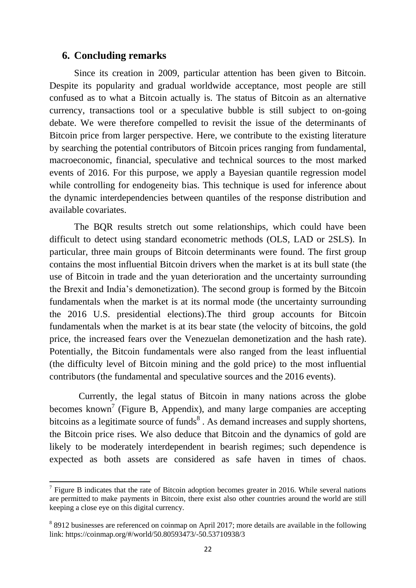### **6. Concluding remarks**

**.** 

Since its creation in 2009, particular attention has been given to Bitcoin. Despite its popularity and gradual worldwide acceptance, most people are still confused as to what a Bitcoin actually is. The status of Bitcoin as an alternative currency, transactions tool or a speculative bubble is still subject to on-going debate. We were therefore compelled to revisit the issue of the determinants of Bitcoin price from larger perspective. Here, we contribute to the existing literature by searching the potential contributors of Bitcoin prices ranging from fundamental, macroeconomic, financial, speculative and technical sources to the most marked events of 2016. For this purpose, we apply a Bayesian quantile regression model while controlling for endogeneity bias. This technique is used for inference about the dynamic interdependencies between quantiles of the response distribution and available covariates.

The BQR results stretch out some relationships, which could have been difficult to detect using standard econometric methods (OLS, LAD or 2SLS). In particular, three main groups of Bitcoin determinants were found. The first group contains the most influential Bitcoin drivers when the market is at its bull state (the use of Bitcoin in trade and the yuan deterioration and the uncertainty surrounding the Brexit and India's demonetization). The second group is formed by the Bitcoin fundamentals when the market is at its normal mode (the uncertainty surrounding the 2016 U.S. presidential elections).The third group accounts for Bitcoin fundamentals when the market is at its bear state (the velocity of bitcoins, the gold price, the increased fears over the Venezuelan demonetization and the hash rate). Potentially, the Bitcoin fundamentals were also ranged from the least influential (the difficulty level of Bitcoin mining and the gold price) to the most influential contributors (the fundamental and speculative sources and the 2016 events).

Currently, the legal status of Bitcoin in many nations across the globe becomes known<sup>7</sup> (Figure B, Appendix), and many large companies are accepting bitcoins as a legitimate source of funds $8$ . As demand increases and supply shortens, the Bitcoin price rises. We also deduce that Bitcoin and the dynamics of gold are likely to be moderately interdependent in bearish regimes; such dependence is expected as both assets are considered as safe haven in times of chaos.

 $<sup>7</sup>$  Figure B indicates that the rate of Bitcoin adoption becomes greater in 2016. While several nations</sup> are permitted to make payments in Bitcoin, there exist also other countries around the world are still keeping a close eye on this digital currency.

<sup>&</sup>lt;sup>8</sup> 8912 businesses are referenced on coinmap on April 2017; more details are available in the following link: https://coinmap.org/#/world/50.80593473/-50.53710938/3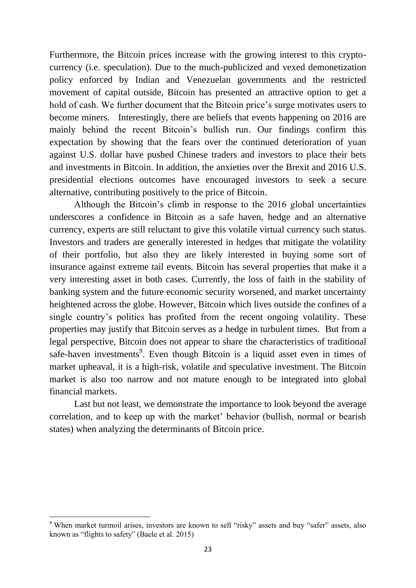Furthermore, the Bitcoin prices increase with the growing interest to this cryptocurrency (i.e. speculation). Due to the much-publicized and vexed demonetization policy enforced by Indian and Venezuelan governments and the restricted movement of capital outside, Bitcoin has presented an attractive option to get a hold of cash. We further document that the Bitcoin price's surge motivates users to become miners. Interestingly, there are beliefs that events happening on 2016 are mainly behind the recent Bitcoin's bullish run. Our findings confirm this expectation by showing that the fears over the continued deterioration of yuan against U.S. dollar have pushed Chinese traders and investors to place their bets and investments in Bitcoin. In addition, the anxieties over the Brexit and 2016 U.S. presidential elections outcomes have encouraged investors to seek a secure alternative, contributing positively to the price of Bitcoin.

Although the Bitcoin's climb in response to the 2016 global uncertainties underscores a confidence in Bitcoin as a safe haven, hedge and an alternative currency, experts are still reluctant to give this volatile virtual currency such status. Investors and traders are generally interested in hedges that mitigate the volatility of their portfolio, but also they are likely interested in buying some sort of insurance against extreme tail events. Bitcoin has several properties that make it a very interesting asset in both cases. Currently, the loss of faith in the stability of banking system and the future economic security worsened, and market uncertainty heightened across the globe. However, Bitcoin which lives outside the confines of a single country's politics has profited from the recent ongoing volatility. These properties may justify that Bitcoin serves as a hedge in turbulent times. But from a legal perspective, Bitcoin does not appear to share the characteristics of traditional safe-haven investments<sup>9</sup>. Even though Bitcoin is a liquid asset even in times of market upheaval, it is a high-risk, volatile and speculative investment. The Bitcoin market is also too narrow and not mature enough to be integrated into global financial markets.

Last but not least, we demonstrate the importance to look beyond the average correlation, and to keep up with the market' behavior (bullish, normal or bearish states) when analyzing the determinants of Bitcoin price.

**.** 

<sup>&</sup>lt;sup>9</sup> When market turmoil arises, investors are known to sell "risky" assets and buy "safer" assets, also known as "flights to safety" (Baele et al. 2015)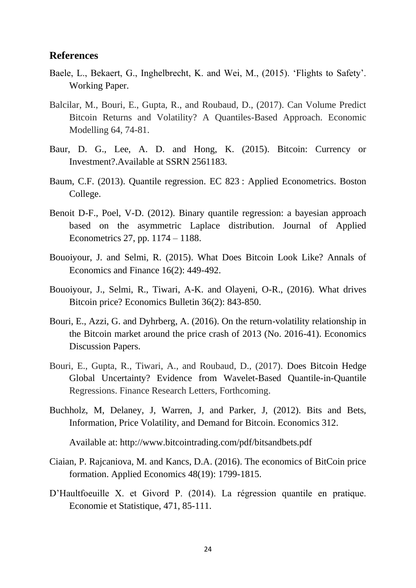#### **References**

- Baele, L., Bekaert, G., Inghelbrecht, K. and Wei, M., (2015). 'Flights to Safety'. Working Paper.
- Balcilar, M., Bouri, E., Gupta, R., and Roubaud, D., (2017). Can Volume Predict Bitcoin Returns and Volatility? A Quantiles-Based Approach. Economic Modelling 64, 74-81.
- Baur, D. G., Lee, A. D. and Hong, K. (2015). Bitcoin: Currency or Investment?.Available at SSRN 2561183.
- Baum, C.F. (2013). Quantile regression. EC 823 : Applied Econometrics. Boston College.
- Benoit D-F., Poel, V-D. (2012). Binary quantile regression: a bayesian approach based on the asymmetric Laplace distribution. Journal of Applied Econometrics 27, pp. 1174 – 1188.
- Bouoiyour, J. and Selmi, R. (2015). What Does Bitcoin Look Like? Annals of Economics and Finance 16(2): 449-492.
- Bouoiyour, J., Selmi, R., Tiwari, A-K. and Olayeni, O-R., (2016). [What drives](https://ideas.repec.org/a/ebl/ecbull/eb-16-00311.html)  [Bitcoin price?](https://ideas.repec.org/a/ebl/ecbull/eb-16-00311.html) [Economics Bulletin](https://ideas.repec.org/s/ebl/ecbull.html) 36(2): 843-850.
- Bouri, E., Azzi, G. and Dyhrberg, A. (2016). On the return-volatility relationship in the Bitcoin market around the price crash of 2013 (No. 2016-41). Economics Discussion Papers.
- Bouri, E., Gupta, R., Tiwari, A., and Roubaud, D., (2017). Does Bitcoin Hedge Global Uncertainty? Evidence from Wavelet-Based Quantile-in-Quantile Regressions. Finance Research Letters, Forthcoming.
- Buchholz, M, Delaney, J, Warren, J, and Parker, J, (2012). Bits and Bets, Information, Price Volatility, and Demand for Bitcoin. Economics 312.

Available at:<http://www.bitcointrading.com/pdf/bitsandbets.pdf>

- Ciaian, P. Rajcaniova, M. and Kancs, D.A. (2016). The economics of BitCoin price formation. Applied Economics 48(19): 1799-1815.
- D'Haultfoeuille X. et Givord P. (2014). La régression quantile en pratique. Economie et Statistique, 471, 85-111.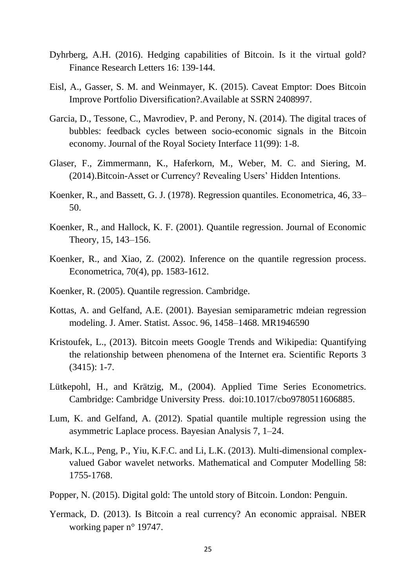- Dyhrberg, A.H. (2016). Hedging capabilities of Bitcoin. Is it the virtual gold? Finance Research Letters 16: 139-144.
- Eisl, A., Gasser, S. M. and Weinmayer, K. (2015). Caveat Emptor: Does Bitcoin Improve Portfolio Diversification?.Available at SSRN 2408997.
- Garcia, D., Tessone, C., Mavrodiev, P. and Perony, N. (2014). The digital traces of bubbles: feedback cycles between socio-economic signals in the Bitcoin economy. Journal of the Royal Society Interface 11(99): 1-8.
- Glaser, F., Zimmermann, K., Haferkorn, M., Weber, M. C. and Siering, M. (2014).Bitcoin-Asset or Currency? Revealing Users' Hidden Intentions.
- Koenker, R., and Bassett, G. J. (1978). Regression quantiles. Econometrica, 46, 33– 50.
- Koenker, R., and Hallock, K. F. (2001). Quantile regression. Journal of Economic Theory, 15, 143–156.
- Koenker, R., and Xiao, Z. (2002). Inference on the quantile regression process. Econometrica, 70(4), pp. 1583-1612.
- Koenker, R. (2005). Quantile regression. Cambridge.
- Kottas, A. and Gelfand, A.E. (2001). Bayesian semiparametric mdeian regression modeling. J. Amer. Statist. Assoc. 96, 1458–1468. MR1946590
- Kristoufek, L., (2013). Bitcoin meets Google Trends and Wikipedia: Quantifying the relationship between phenomena of the Internet era. Scientific Reports 3 (3415): 1-7.
- Lütkepohl, H., and Krätzig, M., (2004). Applied Time Series Econometrics. Cambridge: Cambridge University Press. doi:10.1017/cbo9780511606885.
- Lum, K. and Gelfand, A. (2012). Spatial quantile multiple regression using the asymmetric Laplace process. Bayesian Analysis 7, 1–24.
- Mark, K.L., Peng, P., Yiu, K.F.C. and Li, L.K. (2013). Multi-dimensional complexvalued Gabor wavelet networks. [Mathematical and Computer Modelling](http://www.sciencedirect.com/science/journal/08957177) 58: 1755-1768.
- Popper, N. (2015). Digital gold: The untold story of Bitcoin. London: Penguin.
- Yermack, D. (2013). Is Bitcoin a real currency? An economic appraisal. NBER working paper n° 19747.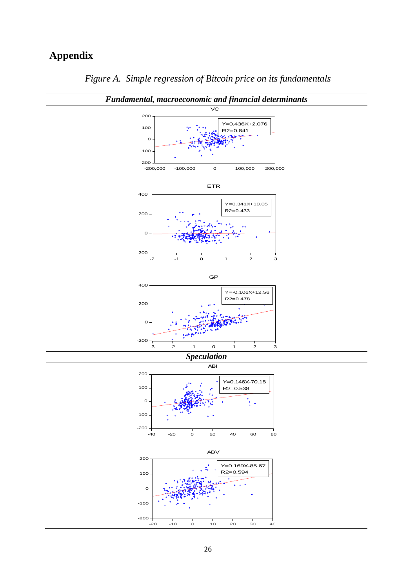# **Appendix**



*Figure A. Simple regression of Bitcoin price on its fundamentals*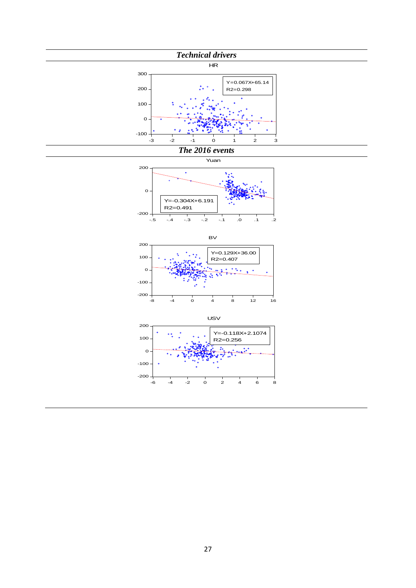